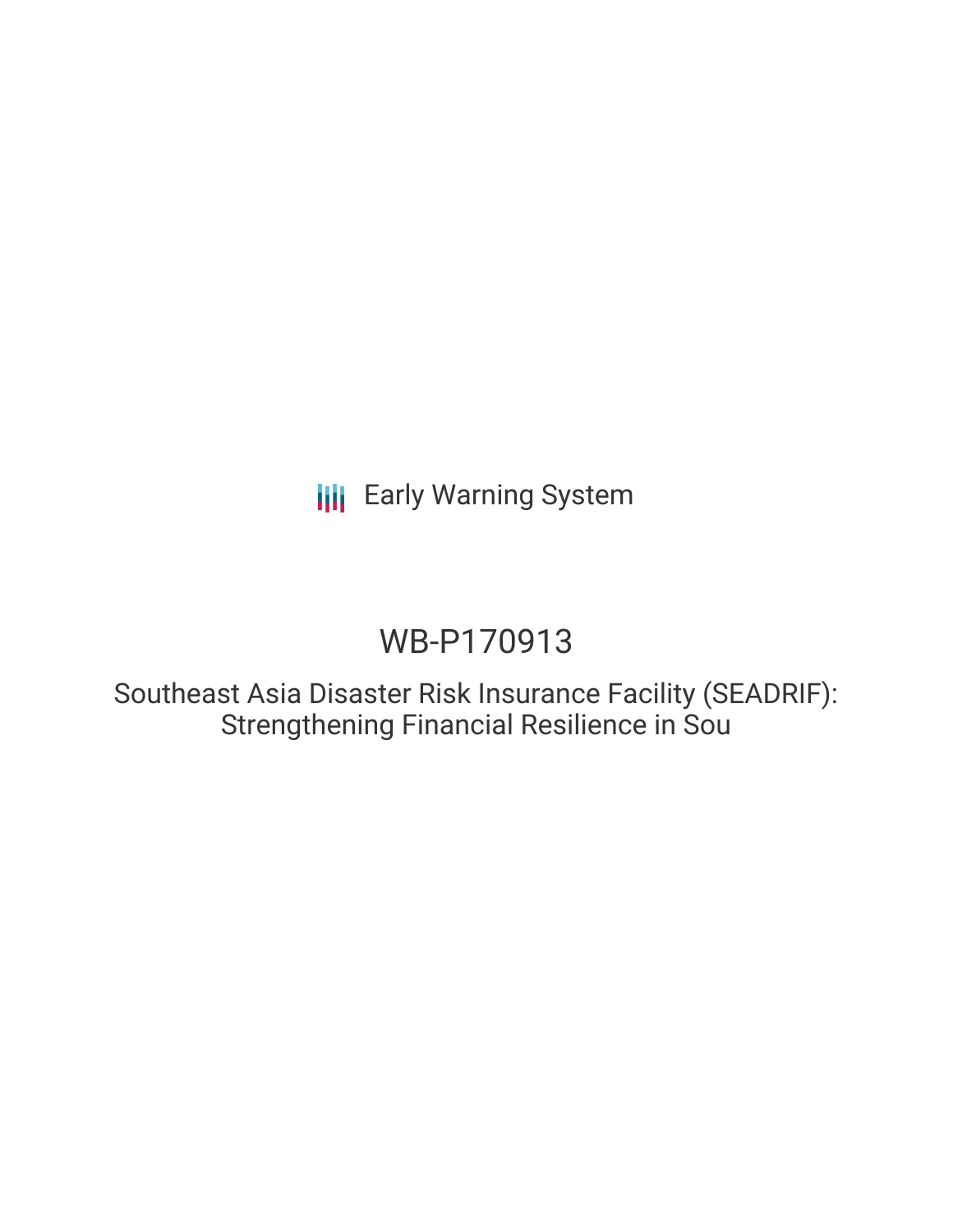**III** Early Warning System

## WB-P170913

Southeast Asia Disaster Risk Insurance Facility (SEADRIF): Strengthening Financial Resilience in Sou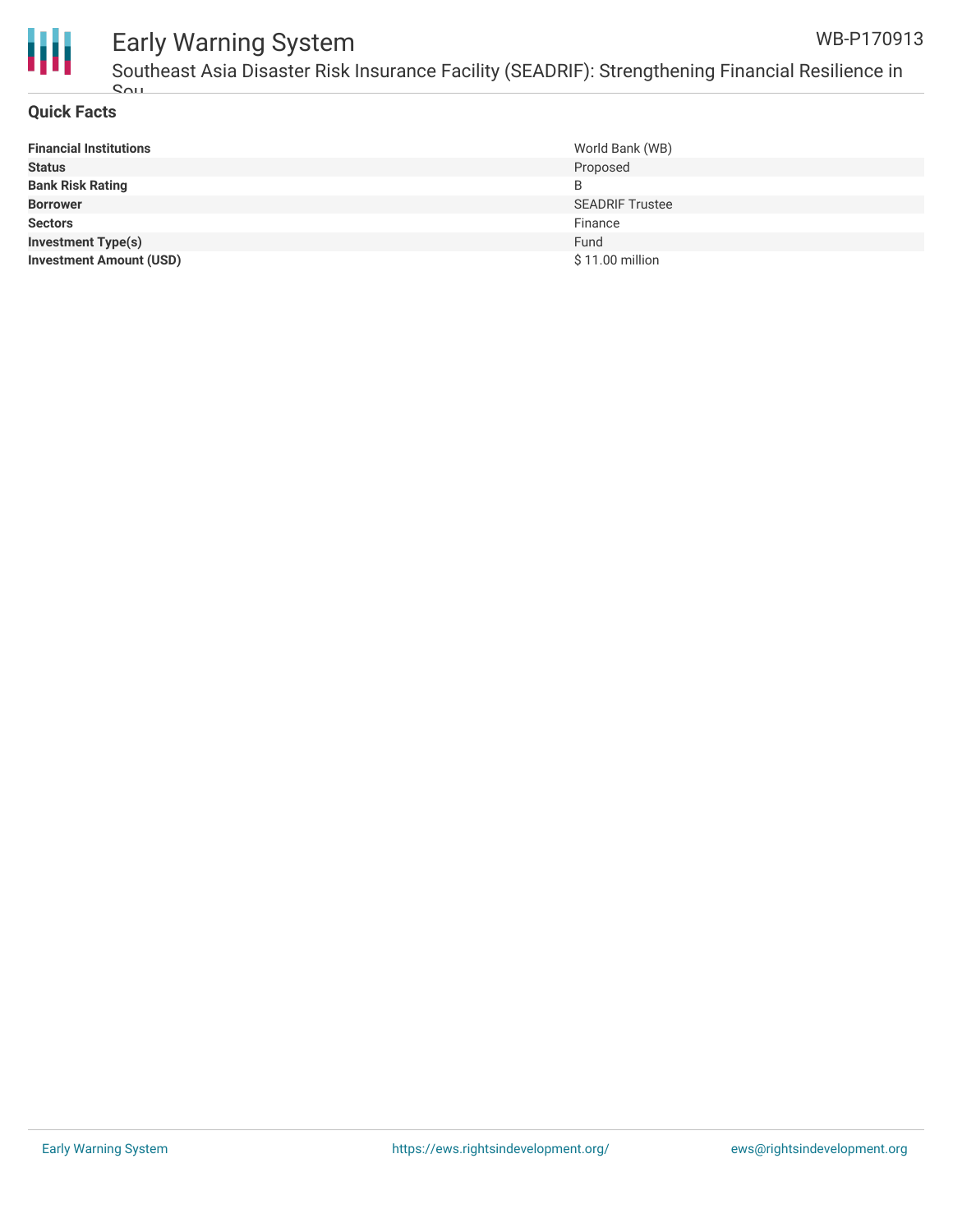

#### Early Warning System Southeast Asia Disaster Risk Insurance Facility (SEADRIF): Strengthening Financial Resilience in WB-P170913

Sou

| <b>Financial Institutions</b>  | World Bank (WB)        |
|--------------------------------|------------------------|
| <b>Status</b>                  | Proposed               |
| <b>Bank Risk Rating</b>        | B                      |
| <b>Borrower</b>                | <b>SEADRIF Trustee</b> |
| <b>Sectors</b>                 | Finance                |
| <b>Investment Type(s)</b>      | Fund                   |
| <b>Investment Amount (USD)</b> | \$11.00 million        |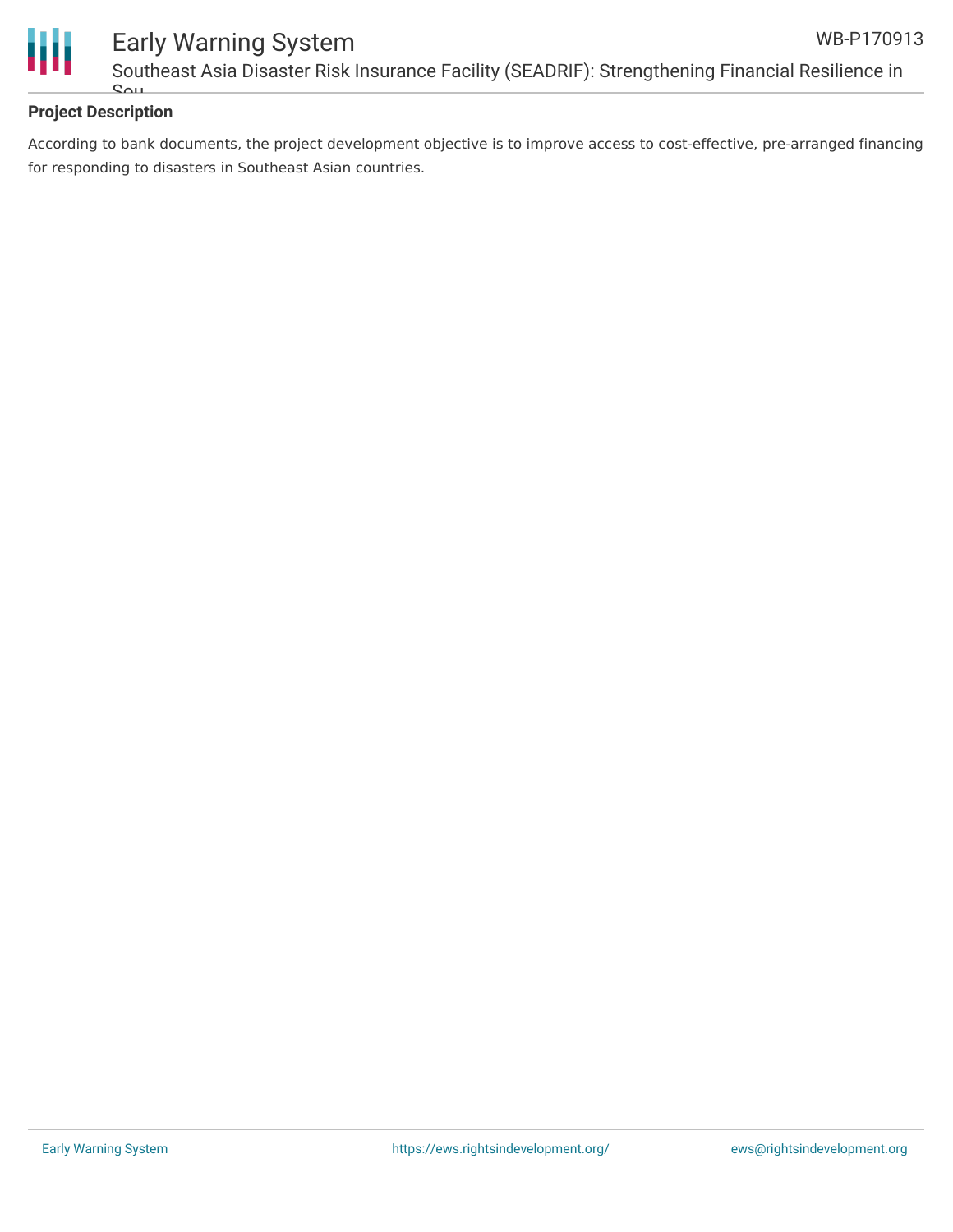



### Early Warning System Southeast Asia Disaster Risk Insurance Facility (SEADRIF): Strengthening Financial Resilience in

### **Project Description**

Sou

According to bank documents, the project development objective is to improve access to cost-effective, pre-arranged financing for responding to disasters in Southeast Asian countries.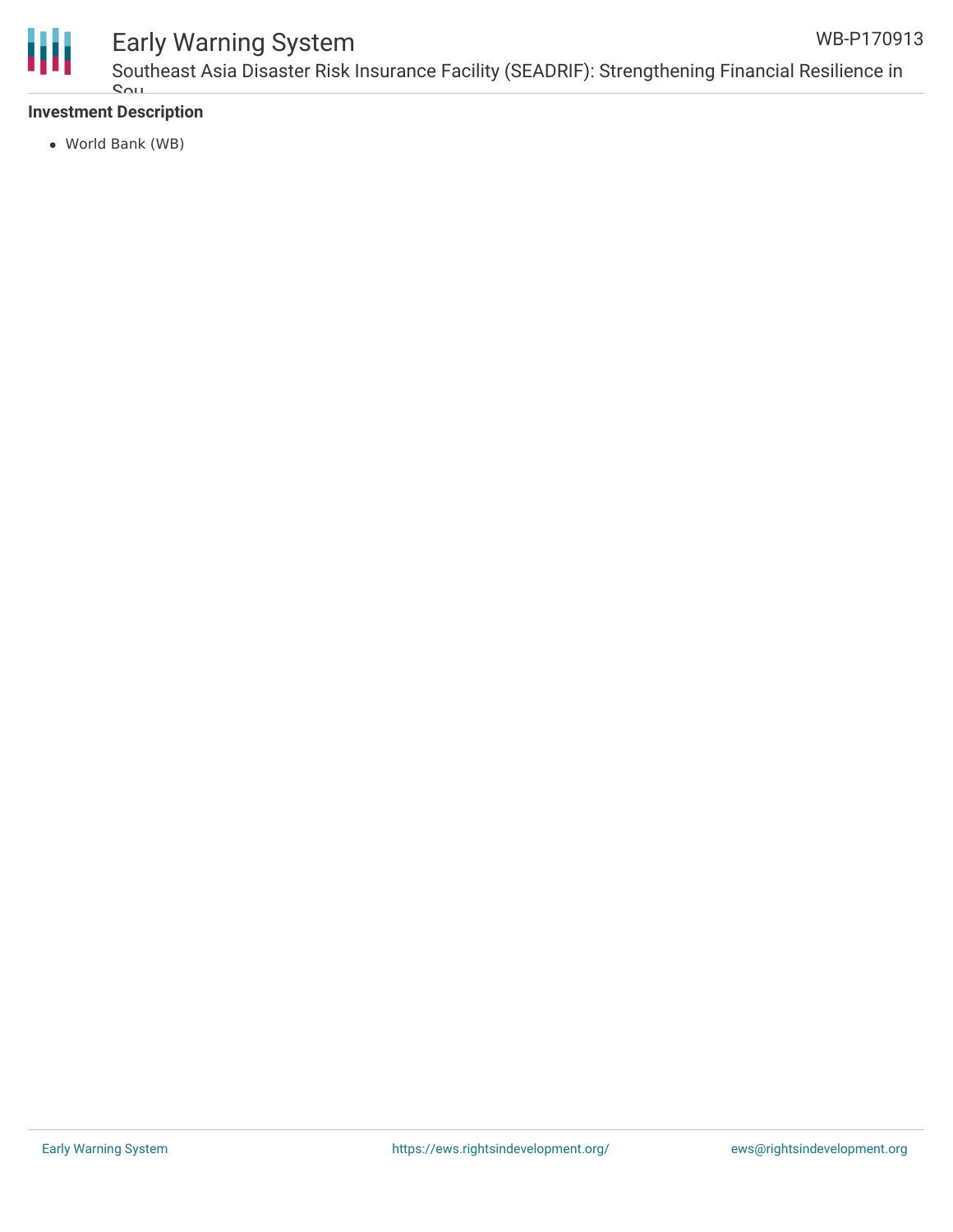

### Early Warning System

Southeast Asia Disaster Risk Insurance Facility (SEADRIF): Strengthening Financial Resilience in Sou

### **Investment Description**

World Bank (WB)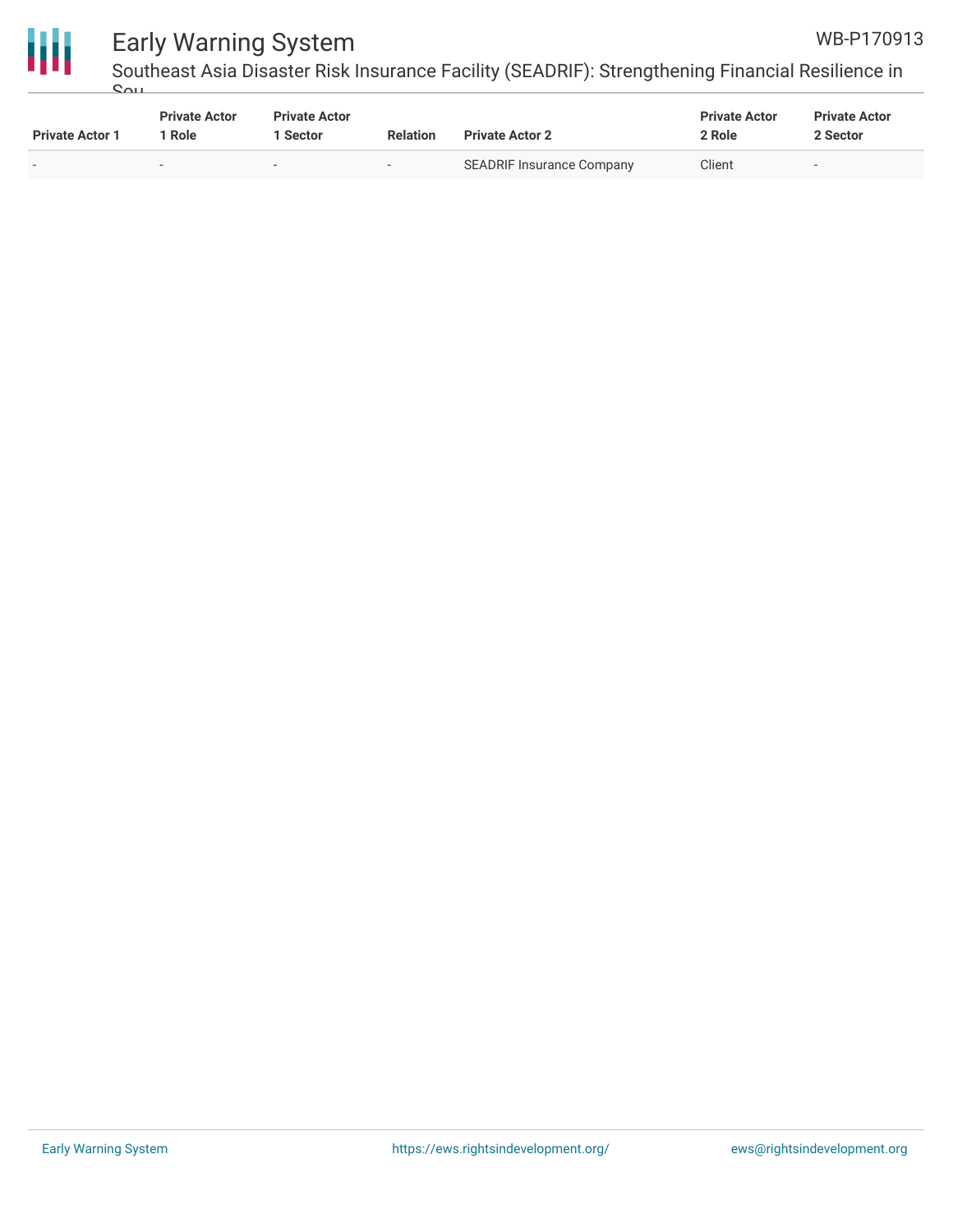

# ₩

### Early Warning System

Southeast Asia Disaster Risk Insurance Facility (SEADRIF): Strengthening Financial Resilience in Sou

| <b>Private Actor 1</b>   | <b>Private Actor</b><br>' Role | <b>Private Actor</b><br>Sector | <b>Relation</b> | <b>Private Actor 2</b>    | <b>Private Actor</b><br>2 Role | <b>Private Actor</b><br>2 Sector |
|--------------------------|--------------------------------|--------------------------------|-----------------|---------------------------|--------------------------------|----------------------------------|
| $\overline{\phantom{0}}$ | $\overline{\phantom{a}}$       | $\overline{\phantom{0}}$       | . .             | SEADRIF Insurance Company | Client                         | $\overline{\phantom{0}}$         |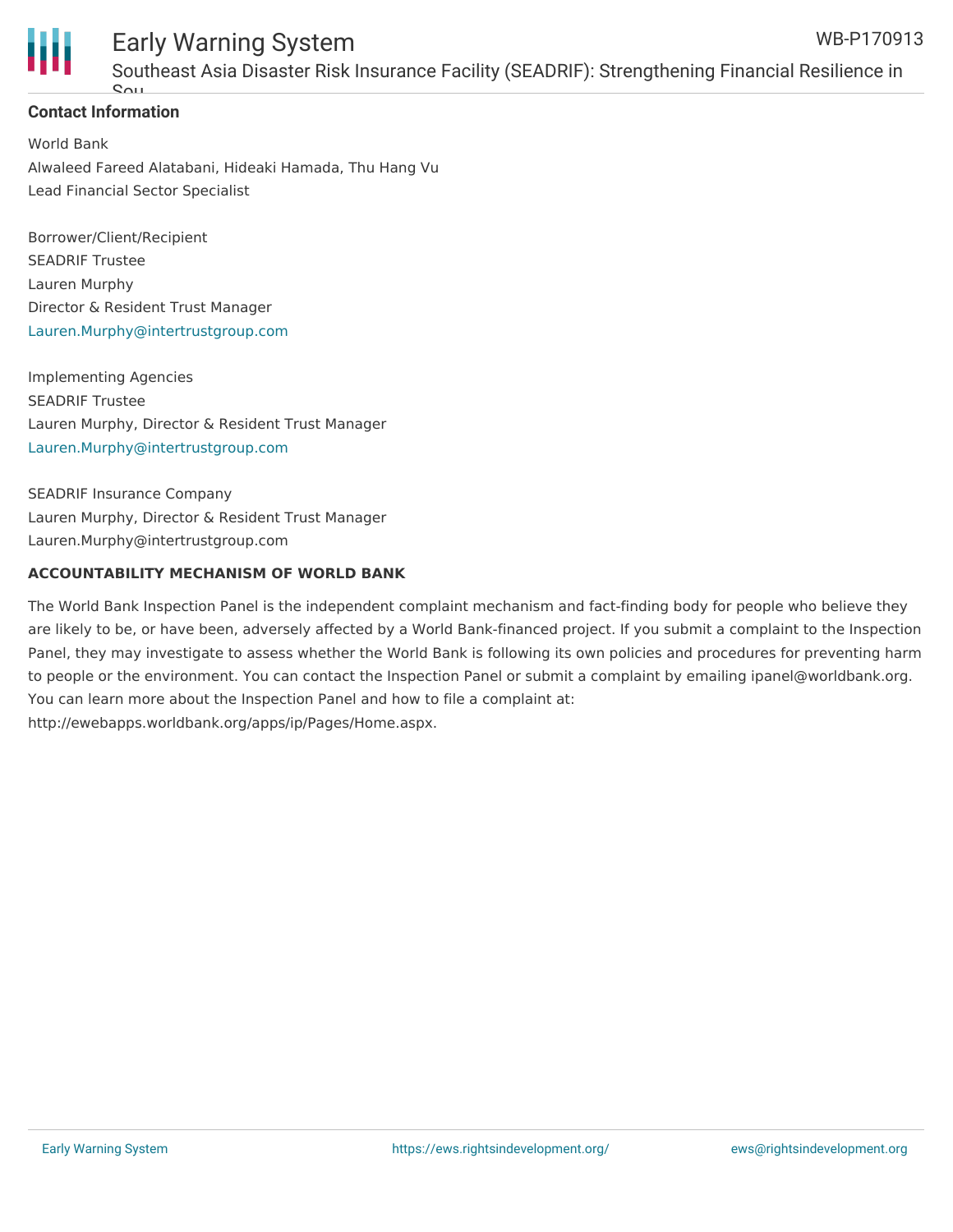

#### Early Warning System Southeast Asia Disaster Risk Insurance Facility (SEADRIF): Strengthening Financial Resilience in WB-P170913

### **Contact Information**

 $\mathbf{S}$ 

World Bank Alwaleed Fareed Alatabani, Hideaki Hamada, Thu Hang Vu Lead Financial Sector Specialist

Borrower/Client/Recipient SEADRIF Trustee Lauren Murphy Director & Resident Trust Manager [Lauren.Murphy@intertrustgroup.com](mailto:Lauren.Murphy@intertrustgroup.com)

Implementing Agencies SEADRIF Trustee Lauren Murphy, Director & Resident Trust Manager [Lauren.Murphy@intertrustgroup.com](mailto:Lauren.Murphy@intertrustgroup.com)

SEADRIF Insurance Company Lauren Murphy, Director & Resident Trust Manager Lauren.Murphy@intertrustgroup.com

#### **ACCOUNTABILITY MECHANISM OF WORLD BANK**

The World Bank Inspection Panel is the independent complaint mechanism and fact-finding body for people who believe they are likely to be, or have been, adversely affected by a World Bank-financed project. If you submit a complaint to the Inspection Panel, they may investigate to assess whether the World Bank is following its own policies and procedures for preventing harm to people or the environment. You can contact the Inspection Panel or submit a complaint by emailing ipanel@worldbank.org. You can learn more about the Inspection Panel and how to file a complaint at: http://ewebapps.worldbank.org/apps/ip/Pages/Home.aspx.